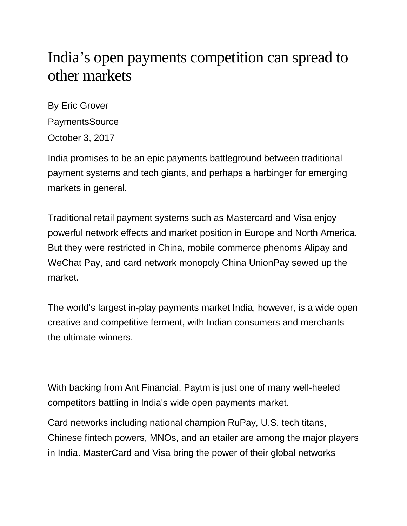## India's open payments competition can spread to other markets

By Eric Grover PaymentsSource October 3, 2017

India promises to be an epic payments battleground between traditional payment systems and tech giants, and perhaps a harbinger for emerging markets in general.

Traditional retail payment systems such as Mastercard and Visa enjoy powerful network effects and market position in Europe and North America. But they were restricted in China, mobile commerce phenoms Alipay and WeChat Pay, and card network monopoly China UnionPay sewed up the market.

The world's largest in-play payments market India, however, is a wide open creative and competitive ferment, with Indian consumers and merchants the ultimate winners.

With backing from Ant Financial, Paytm is just one of many well-heeled competitors battling in India's wide open payments market.

Card networks including national champion RuPay, U.S. tech titans, Chinese fintech powers, MNOs, and an etailer are among the major players in India. MasterCard and Visa bring the power of their global networks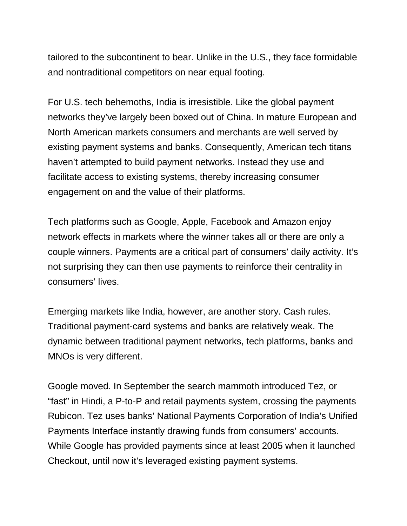tailored to the subcontinent to bear. Unlike in the U.S., they face formidable and nontraditional competitors on near equal footing.

For U.S. tech behemoths, India is irresistible. Like the global payment networks they've largely been boxed out of China. In mature European and North American markets consumers and merchants are well served by existing payment systems and banks. Consequently, American tech titans haven't attempted to build payment networks. Instead they use and facilitate access to existing systems, thereby increasing consumer engagement on and the value of their platforms.

Tech platforms such as Google, Apple, Facebook and Amazon enjoy network effects in markets where the winner takes all or there are only a couple winners. Payments are a critical part of consumers' daily activity. It's not surprising they can then use payments to reinforce their centrality in consumers' lives.

Emerging markets like India, however, are another story. Cash rules. Traditional payment-card systems and banks are relatively weak. The dynamic between traditional payment networks, tech platforms, banks and MNOs is very different.

Google moved. In September the search mammoth introduced Tez, or "fast" in Hindi, a P-to-P and retail payments system, crossing the payments Rubicon. Tez uses banks' National Payments Corporation of India's Unified Payments Interface instantly drawing funds from consumers' accounts. While Google has provided payments since at least 2005 when it launched Checkout, until now it's leveraged existing payment systems.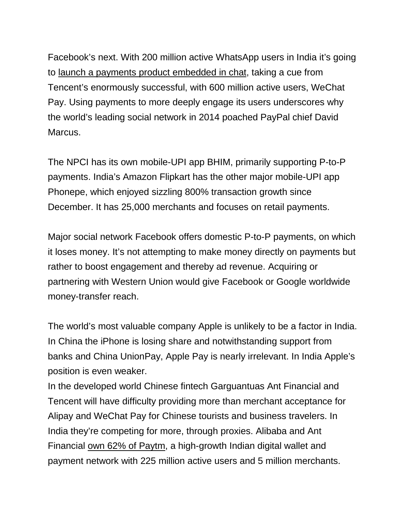Facebook's next. With 200 million active WhatsApp users in India it's going to [launch a payments product embedded in chat,](http://economictimes.indiatimes.com/industry/banking/finance/whatsapp-in-talks-with-sbi-and-npci-for-payments-via-upi/articleshow/59275798.cms) taking a cue from Tencent's enormously successful, with 600 million active users, WeChat Pay. Using payments to more deeply engage its users underscores why the world's leading social network in 2014 poached PayPal chief David Marcus.

The NPCI has its own mobile-UPI app BHIM, primarily supporting P-to-P payments. India's Amazon Flipkart has the other major mobile-UPI app Phonepe, which enjoyed sizzling 800% transaction growth since December. It has 25,000 merchants and focuses on retail payments.

Major social network Facebook offers domestic P-to-P payments, on which it loses money. It's not attempting to make money directly on payments but rather to boost engagement and thereby ad revenue. Acquiring or partnering with Western Union would give Facebook or Google worldwide money-transfer reach.

The world's most valuable company Apple is unlikely to be a factor in India. In China the iPhone is losing share and notwithstanding support from banks and China UnionPay, Apple Pay is nearly irrelevant. In India Apple's position is even weaker.

In the developed world Chinese fintech Garguantuas Ant Financial and Tencent will have difficulty providing more than merchant acceptance for Alipay and WeChat Pay for Chinese tourists and business travelers. In India they're competing for more, through proxies. Alibaba and Ant Financial [own 62% of Paytm,](http://economictimes.indiatimes.com/small-biz/money/alibaba-to-hike-stake-in-paytms-marketplace-for-177-million/articleshow/57428717.cms) a high-growth Indian digital wallet and payment network with 225 million active users and 5 million merchants.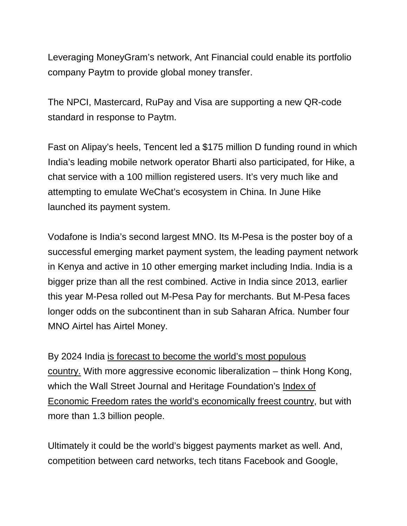Leveraging MoneyGram's network, Ant Financial could enable its portfolio company Paytm to provide global money transfer.

The NPCI, Mastercard, RuPay and Visa are supporting a new QR-code standard in response to Paytm.

Fast on Alipay's heels, Tencent led a \$175 million D funding round in which India's leading mobile network operator Bharti also participated, for Hike, a chat service with a 100 million registered users. It's very much like and attempting to emulate WeChat's ecosystem in China. In June Hike launched its payment system.

Vodafone is India's second largest MNO. Its M-Pesa is the poster boy of a successful emerging market payment system, the leading payment network in Kenya and active in 10 other emerging market including India. India is a bigger prize than all the rest combined. Active in India since 2013, earlier this year M-Pesa rolled out M-Pesa Pay for merchants. But M-Pesa faces longer odds on the subcontinent than in sub Saharan Africa. Number four MNO Airtel has Airtel Money.

By 2024 India [is forecast to become the world's most populous](https://qz.com/1051533/india-is-unprepared-for-a-near-future-when-it-will-be-the-worlds-most-populous-country/)  [country.](https://qz.com/1051533/india-is-unprepared-for-a-near-future-when-it-will-be-the-worlds-most-populous-country/) With more aggressive economic liberalization – think Hong Kong, which the Wall Street Journal and Heritage Foundation's Index of [Economic Freedom rates the world's economically freest country,](http://www.heritage.org/index/) but with more than 1.3 billion people.

Ultimately it could be the world's biggest payments market as well. And, competition between card networks, tech titans Facebook and Google,